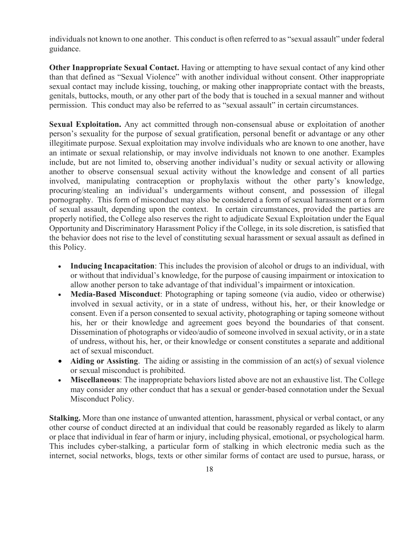individuals not known to one another. This conduct is often referred to as "sexual assault" under federal guidance.

**Other Inappropriate Sexual Contact.** Having or attempting to have sexual contact of any kind other than that defined as "Sexual Violence" with another individual without consent. Other inappropriate sexual contact may include kissing, touching, or making other inappropriate contact with the breasts, genitals, buttocks, mouth, or any other part of the body that is touched in a sexual manner and without permission. This conduct may also be referred to as "sexual assault" in certain circumstances.

**Sexual Exploitation.** Any act committed through non-consensual abuse or exploitation of another person's sexuality for the purpose of sexual gratification, personal benefit or advantage or any other illegitimate purpose. Sexual exploitation may involve individuals who are known to one another, have an intimate or sexual relationship, or may involve individuals not known to one another. Examples include, but are not limited to, observing another individual's nudity or sexual activity or allowing another to observe consensual sexual activity without the knowledge and consent of all parties involved, manipulating contraception or prophylaxis without the other party's knowledge, procuring/stealing an individual's undergarments without consent, and possession of illegal pornography. This form of misconduct may also be considered a form of sexual harassment or a form of sexual assault, depending upon the context. In certain circumstances, provided the parties are properly notified, the College also reserves the right to adjudicate Sexual Exploitation under the Equal Opportunity and Discriminatory Harassment Policy if the College, in its sole discretion, is satisfied that the behavior does not rise to the level of constituting sexual harassment or sexual assault as defined in this Policy. s sexuality for the purpose of sexual gratification, personal benefit or advantage or<br>ante purpose. Sexual exploitation may involve individuals solo known to one ano<br>enter of sexual relationship, or may involve individuals

- **Inducing Incapacitation**: This includes the provision of alcohol or drugs to an individual, with or without that individual's knowledge, for the purpose of causing impairment or intoxication to allow another person to take advantage of that individual's impairment or intoxication.
- **Media-Based Misconduct**: Photographing or taping someone (via audio, video or otherwise) involved in sexual activity, or in a state of undress, without his, her, or their knowledge or consent. Even if a person consented to sexual activity, photographing or taping someone without his, her or their knowledge and agreement goes beyond the boundaries of that consent. Dissemination of photographs or video/audio of someone involved in sexual activity, or in a state of undress, without his, her, or their knowledge or consent constitutes a separate and additional act of sexual misconduct.
- **Aiding or Assisting**. The aiding or assisting in the commission of an act(s) of sexual violence or sexual misconduct is prohibited.
- **Miscellaneous**: The inappropriate behaviors listed above are not an exhaustive list. The College may consider any other conduct that has a sexual or gender-based connotation under the Sexual Misconduct Policy.

**Stalking.** More than one instance of unwanted attention, harassment, physical or verbal contact, or any other course of conduct directed at an individual that could be reasonably regarded as likely to alarm or place that individual in fear of harm or injury, including physical, emotional, or psychological harm. This includes cyber-stalking, a particular form of stalking in which electronic media such as the internet, social networks, blogs, texts or other similar forms of contact are used to pursue, harass, or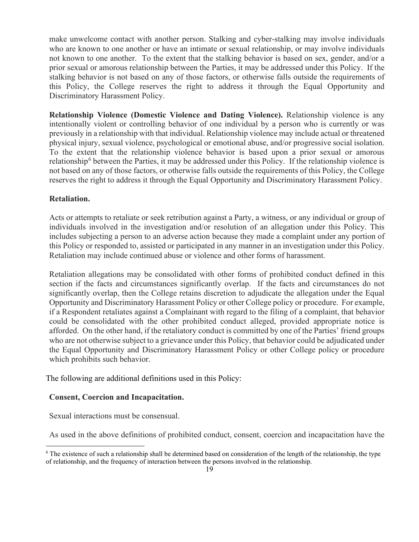make unwelcome contact with another person. Stalking and cyber-stalking may involve individuals who are known to one another or have an intimate or sexual relationship, or may involve individuals not known to one another. To the extent that the stalking behavior is based on sex, gender, and/or a prior sexual or amorous relationship between the Parties, it may be addressed under this Policy. If the stalking behavior is not based on any of those factors, or otherwise falls outside the requirements of this Policy, the College reserves the right to address it through the Equal Opportunity and Discriminatory Harassment Policy.

**Relationship Violence (Domestic Violence and Dating Violence).** Relationship violence is any intentionally violent or controlling behavior of one individual by a person who is currently or was previously in a relationship with that individual. Relationship violence may include actual or threatened physical injury, sexual violence, psychological or emotional abuse, and/or progressive social isolation. To the extent that the relationship violence behavior is based upon a prior sexual or amorous relationship<sup>6</sup> between the Parties, it may be addressed under this Policy. If the relationship violence is not based on any of those factors, or otherwise falls outside the requirements of this Policy, the College reserves the right to address it through the Equal Opportunity and Discriminatory Harassment Policy.

## **Retaliation.**

Acts or attempts to retaliate or seek retribution against a Party, a witness, or any individual or group of individuals involved in the investigation and/or resolution of an allegation under this Policy. This includes subjecting a person to an adverse action because they made a complaint under any portion of this Policy or responded to, assisted or participated in any manner in an investigation under this Policy. Retaliation may include continued abuse or violence and other forms of harassment.

Retaliation allegations may be consolidated with other forms of prohibited conduct defined in this section if the facts and circumstances significantly overlap. If the facts and circumstances do not significantly overlap, then the College retains discretion to adjudicate the allegation under the Equal Opportunity and Discriminatory Harassment Policy or other College policy or procedure. For example, if a Respondent retaliates against a Complainant with regard to the filing of a complaint, that behavior could be consolidated with the other prohibited conduct alleged, provided appropriate notice is afforded. On the other hand, if the retaliatory conduct is committed by one of the Parties' friend groups who are not otherwise subject to a grievance under this Policy, that behavior could be adjudicated under the Equal Opportunity and Discriminatory Harassment Policy or other College policy or procedure which prohibits such behavior. **[A](#page-18-0)by in a relationship with that individual. Relationship violence may include actual or injury, sexual violence, expectively coincid abuse, and/or progressive social and individual. The expective social scale of progressi** 

The following are additional definitions used in this Policy:

### **Consent, Coercion and Incapacitation.**

Sexual interactions must be consensual.

As used in the above definitions of prohibited conduct, consent, coercion and incapacitation have the



<span id="page-18-0"></span> $6$  The existence of such a relationship shall be determined based on consideration of the length of the relationship, the type of relationship, and the frequency of interaction between the persons involved in the relationship.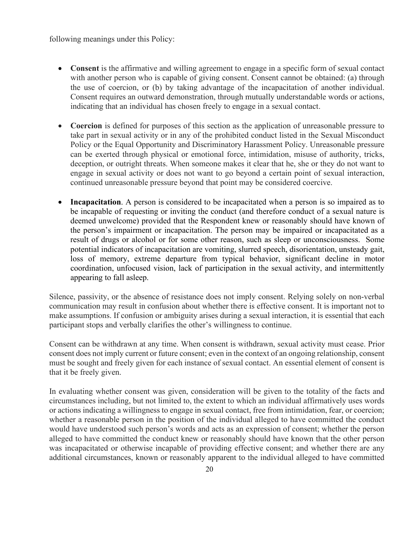following meanings under this Policy:

- **Consent** is the affirmative and willing agreement to engage in a specific form of sexual contact with another person who is capable of giving consent. Consent cannot be obtained: (a) through the use of coercion, or (b) by taking advantage of the incapacitation of another individual. Consent requires an outward demonstration, through mutually understandable words or actions, indicating that an individual has chosen freely to engage in a sexual contact.
- **Coercion** is defined for purposes of this section as the application of unreasonable pressure to take part in sexual activity or in any of the prohibited conduct listed in the Sexual Misconduct Policy or the Equal Opportunity and Discriminatory Harassment Policy. Unreasonable pressure can be exerted through physical or emotional force, intimidation, misuse of authority, tricks, deception, or outright threats. When someone makes it clear that he, she or they do not want to engage in sexual activity or does not want to go beyond a certain point of sexual interaction, continued unreasonable pressure beyond that point may be considered coercive.
- **Incapacitation.** A person is considered to be incapacitated when a person is so impaired as to be incapable of requesting or inviting the conduct (and therefore conduct of a sexual nature is deemed unwelcome) provided that the Respondent knew or reasonably should have known of the person's impairment or incapacitation. The person may be impaired or incapacitated as a result of drugs or alcohol or for some other reason, such as sleep or unconsciousness. Some potential indicators of incapacitation are vomiting, slurred speech, disorientation, unsteady gait, loss of memory, extreme departure from typical behavior, significant decline in motor coordination, unfocused vision, lack of participation in the sexual activity, and intermittently appearing to fall asleep. **Exercise of a material distribution of a material entirely the spiritual entirely of the Sexual entire of the Sexual entire of the Sexual entire of the Sexual entire of the Sexual entire of the Sexual entire of the Sexual**

Silence, passivity, or the absence of resistance does not imply consent. Relying solely on non-verbal communication may result in confusion about whether there is effective consent. It is important not to make assumptions. If confusion or ambiguity arises during a sexual interaction, it is essential that each participant stops and verbally clarifies the other's willingness to continue.

Consent can be withdrawn at any time. When consent is withdrawn, sexual activity must cease. Prior consent does not imply current or future consent; even in the context of an ongoing relationship, consent must be sought and freely given for each instance of sexual contact. An essential element of consent is that it be freely given.

In evaluating whether consent was given, consideration will be given to the totality of the facts and circumstances including, but not limited to, the extent to which an individual affirmatively uses words or actions indicating a willingness to engage in sexual contact, free from intimidation, fear, or coercion; whether a reasonable person in the position of the individual alleged to have committed the conduct would have understood such person's words and acts as an expression of consent; whether the person alleged to have committed the conduct knew or reasonably should have known that the other person was incapacitated or otherwise incapable of providing effective consent; and whether there are any additional circumstances, known or reasonably apparent to the individual alleged to have committed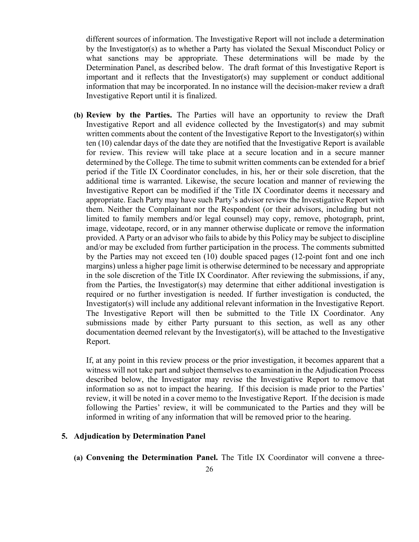different sources of information. The Investigative Report will not include a determination by the Investigator(s) as to whether a Party has violated the Sexual Misconduct Policy or what sanctions may be appropriate. These determinations will be made by the Determination Panel, as described below. The draft format of this Investigative Report is important and it reflects that the Investigator(s) may supplement or conduct additional information that may be incorporated. In no instance will the decision-maker review a draft Investigative Report until it is finalized.

**(b) Review by the Parties.** The Parties will have an opportunity to review the Draft Investigative Report and all evidence collected by the Investigator(s) and may submit written comments about the content of the Investigative Report to the Investigator(s) within ten (10) calendar days of the date they are notified that the Investigative Report is available for review. This review will take place at a secure location and in a secure manner determined by the College. The time to submit written comments can be extended for a brief period if the Title IX Coordinator concludes, in his, her or their sole discretion, that the additional time is warranted. Likewise, the secure location and manner of reviewing the Investigative Report can be modified if the Title IX Coordinator deems it necessary and appropriate. Each Party may have such Party's advisor review the Investigative Report with them. Neither the Complainant nor the Respondent (or their advisors, including but not limited to family members and/or legal counsel) may copy, remove, photograph, print, image, videotape, record, or in any manner otherwise duplicate or remove the information provided. A Party or an advisor who fails to abide by this Policy may be subject to discipline and/or may be excluded from further participation in the process. The comments submitted by the Parties may not exceed ten (10) double spaced pages (12-point font and one inch margins) unless a higher page limit is otherwise determined to be necessary and appropriate in the sole discretion of the Title IX Coordinator. After reviewing the submissions, if any, from the Parties, the Investigator(s) may determine that either additional investigation is required or no further investigation is needed. If further investigation is conducted, the Investigator(s) will include any additional relevant information in the Investigative Report. The Investigative Report will then be submitted to the Title IX Coordinator. Any submissions made by either Party pursuant to this section, as well as any other documentation deemed relevant by the Investigator(s), will be attached to the Investigative Report. written comments about the content of the Investigative Report to the Investigato<br>ton (10) elalorda rdays of the date thy are notified that the Investigative Report<br>for review. This review will take place at a secure locat

If, at any point in this review process or the prior investigation, it becomes apparent that a witness will not take part and subject themselves to examination in the Adjudication Process described below, the Investigator may revise the Investigative Report to remove that information so as not to impact the hearing. If this decision is made prior to the Parties' review, it will be noted in a cover memo to the Investigative Report. If the decision is made following the Parties' review, it will be communicated to the Parties and they will be informed in writing of any information that will be removed prior to the hearing.

### **5. Adjudication by Determination Panel**

**(a) Convening the Determination Panel.** The Title IX Coordinator will convene a three-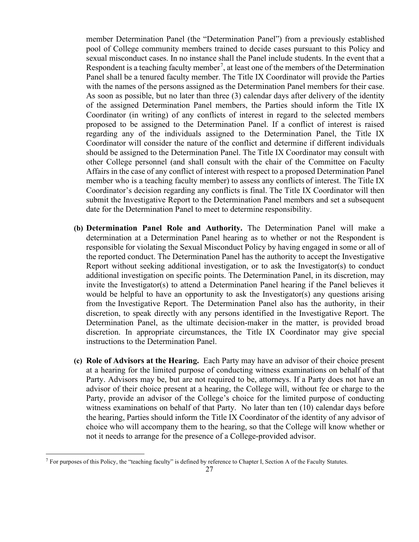member Determination Panel (the "Determination Panel") from a previously established pool of College community members trained to decide cases pursuant to this Policy and sexual misconduct cases. In no instance shall the Panel include students. In the event that a Respondent is a teaching faculty member<sup>[7](#page-26-0)</sup>, at least one of the members of the Determination Panel shall be a tenured faculty member. The Title IX Coordinator will provide the Parties with the names of the persons assigned as the Determination Panel members for their case. As soon as possible, but no later than three (3) calendar days after delivery of the identity of the assigned Determination Panel members, the Parties should inform the Title IX Coordinator (in writing) of any conflicts of interest in regard to the selected members proposed to be assigned to the Determination Panel. If a conflict of interest is raised regarding any of the individuals assigned to the Determination Panel, the Title IX Coordinator will consider the nature of the conflict and determine if different individuals should be assigned to the Determination Panel. The Title IX Coordinator may consult with other College personnel (and shall consult with the chair of the Committee on Faculty Affairs in the case of any conflict of interest with respect to a proposed Determination Panel member who is a teaching faculty member) to assess any conflicts of interest. The Title IX Coordinator's decision regarding any conflicts is final. The Title IX Coordinator will then submit the Investigative Report to the Determination Panel members and set a subsequent date for the Determination Panel to meet to determine responsibility.

- **(b) Determination Panel Role and Authority.** The Determination Panel will make a determination at a Determination Panel hearing as to whether or not the Respondent is responsible for violating the Sexual Misconduct Policy by having engaged in some or all of the reported conduct. The Determination Panel has the authority to accept the Investigative Report without seeking additional investigation, or to ask the Investigator(s) to conduct additional investigation on specific points. The Determination Panel, in its discretion, may invite the Investigator(s) to attend a Determination Panel hearing if the Panel believes it would be helpful to have an opportunity to ask the Investigator(s) any questions arising from the Investigative Report. The Determination Panel also has the authority, in their discretion, to speak directly with any persons identified in the Investigative Report. The Determination Panel, as the ultimate decision-maker in the matter, is provided broad discretion. In appropriate circumstances, the Title IX Coordinator may give special instructions to the Determination Panel. condination will consider the nature of the condination Panel, the<br>Coordination will consider the nature of the condict and determine if different in<br>shelld by assigned to the Determination Panel. The Title IX Coordinator
- **(c) Role of Advisors at the Hearing.** Each Party may have an advisor of their choice present at a hearing for the limited purpose of conducting witness examinations on behalf of that Party. Advisors may be, but are not required to be, attorneys. If a Party does not have an advisor of their choice present at a hearing, the College will, without fee or charge to the Party, provide an advisor of the College's choice for the limited purpose of conducting witness examinations on behalf of that Party. No later than ten (10) calendar days before the hearing, Parties should inform the Title IX Coordinator of the identity of any advisor of choice who will accompany them to the hearing, so that the College will know whether or not it needs to arrange for the presence of a College-provided advisor.

<span id="page-26-0"></span> $^7$  For purposes of this Policy, the "teaching faculty" is defined by reference to Chapter I, Section A of the Faculty Statutes.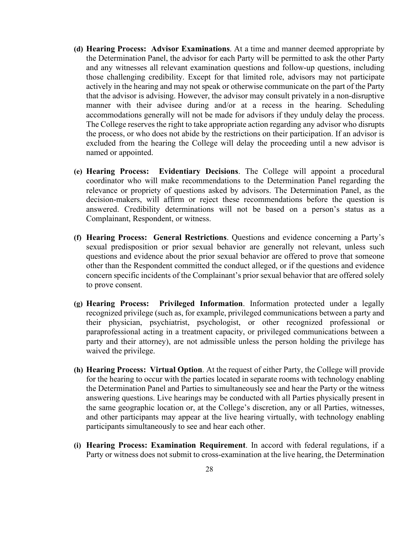- **(d) Hearing Process: Advisor Examinations**. At a time and manner deemed appropriate by the Determination Panel, the advisor for each Party will be permitted to ask the other Party and any witnesses all relevant examination questions and follow-up questions, including those challenging credibility. Except for that limited role, advisors may not participate actively in the hearing and may not speak or otherwise communicate on the part of the Party that the advisor is advising. However, the advisor may consult privately in a non-disruptive manner with their advisee during and/or at a recess in the hearing. Scheduling accommodations generally will not be made for advisors if they unduly delay the process. The College reserves the right to take appropriate action regarding any advisor who disrupts the process, or who does not abide by the restrictions on their participation. If an advisor is excluded from the hearing the College will delay the proceeding until a new advisor is named or appointed.
- **(e) Hearing Process: Evidentiary Decisions**. The College will appoint a procedural coordinator who will make recommendations to the Determination Panel regarding the relevance or propriety of questions asked by advisors. The Determination Panel, as the decision-makers, will affirm or reject these recommendations before the question is answered. Credibility determinations will not be based on a person's status as a Complainant, Respondent, or witness. the process, or who does not abide by the restrictions on their participation. If an exactleded from the hearing the College will delay the proceeding until a new canded or appointed.<br> **(c) Hearing Process:** Evidentiary De
- **(f) Hearing Process: General Restrictions**. Questions and evidence concerning a Party's sexual predisposition or prior sexual behavior are generally not relevant, unless such questions and evidence about the prior sexual behavior are offered to prove that someone other than the Respondent committed the conduct alleged, or if the questions and evidence concern specific incidents of the Complainant's prior sexual behavior that are offered solely to prove consent.
- **(g) Hearing Process: Privileged Information**. Information protected under a legally recognized privilege (such as, for example, privileged communications between a party and their physician, psychiatrist, psychologist, or other recognized professional or paraprofessional acting in a treatment capacity, or privileged communications between a party and their attorney), are not admissible unless the person holding the privilege has waived the privilege.
- **(h) Hearing Process: Virtual Option**. At the request of either Party, the College will provide for the hearing to occur with the parties located in separate rooms with technology enabling the Determination Panel and Parties to simultaneously see and hear the Party or the witness answering questions. Live hearings may be conducted with all Parties physically present in the same geographic location or, at the College's discretion, any or all Parties, witnesses, and other participants may appear at the live hearing virtually, with technology enabling participants simultaneously to see and hear each other.
- **(i) Hearing Process: Examination Requirement**. In accord with federal regulations, if a Party or witness does not submit to cross-examination at the live hearing, the Determination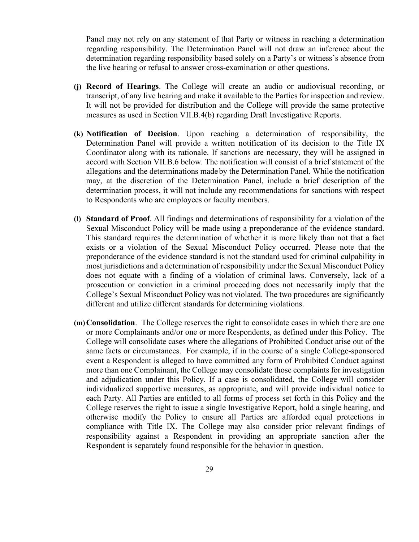Panel may not rely on any statement of that Party or witness in reaching a determination regarding responsibility. The Determination Panel will not draw an inference about the determination regarding responsibility based solely on a Party's or witness's absence from the live hearing or refusal to answer cross-examination or other questions.

- **(j) Record of Hearings**. The College will create an audio or audiovisual recording, or transcript, of any live hearing and make it available to the Parties for inspection and review. It will not be provided for distribution and the College will provide the same protective measures as used in Section VII.B.4(b) regarding Draft Investigative Reports.
- **(k) Notification of Decision**. Upon reaching a determination of responsibility, the Determination Panel will provide a written notification of its decision to the Title IX Coordinator along with its rationale. If sanctions are necessary, they will be assigned in accord with Section VII.B.6 below. The notification will consist of a brief statement of the allegations and the determinations madeby the Determination Panel. While the notification may, at the discretion of the Determination Panel, include a brief description of the determination process, it will not include any recommendations for sanctions with respect to Respondents who are employees or faculty members.
- **(l) Standard of Proof**. All findings and determinations of responsibility for a violation of the Sexual Misconduct Policy will be made using a preponderance of the evidence standard. This standard requires the determination of whether it is more likely than not that a fact exists or a violation of the Sexual Misconduct Policy occurred. Please note that the preponderance of the evidence standard is not the standard used for criminal culpability in most jurisdictions and a determination of responsibility under the Sexual Misconduct Policy does not equate with a finding of a violation of criminal laws. Conversely, lack of a prosecution or conviction in a criminal proceeding does not necessarily imply that the College's Sexual Misconduct Policy was not violated. The two procedures are significantly different and utilize different standards for determining violations. (k) **Notification of Decision**. Upon reaching a determination of responsib<br>
Determination Panel will provide a written notification of its decision to the<br>
Coordinator along with is rationale. If snartions are necessary, t
- **(m)Consolidation**. The College reserves the right to consolidate cases in which there are one or more Complainants and/or one or more Respondents, as defined under this Policy. The College will consolidate cases where the allegations of Prohibited Conduct arise out of the same facts or circumstances. For example, if in the course of a single College-sponsored event a Respondent is alleged to have committed any form of Prohibited Conduct against more than one Complainant, the College may consolidate those complaints for investigation and adjudication under this Policy. If a case is consolidated, the College will consider individualized supportive measures, as appropriate, and will provide individual notice to each Party. All Parties are entitled to all forms of process set forth in this Policy and the College reserves the right to issue a single Investigative Report, hold a single hearing, and otherwise modify the Policy to ensure all Parties are afforded equal protections in compliance with Title IX. The College may also consider prior relevant findings of responsibility against a Respondent in providing an appropriate sanction after the Respondent is separately found responsible for the behavior in question.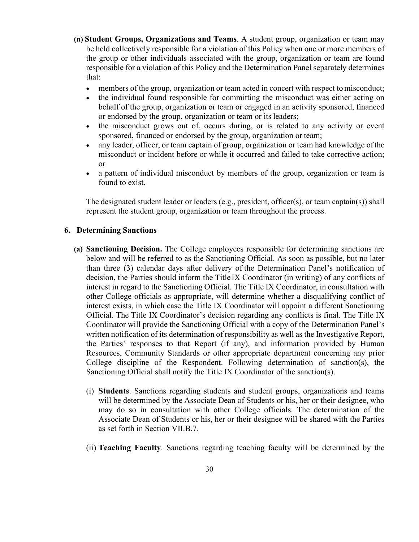- **(n) Student Groups, Organizations and Teams**. A student group, organization or team may be held collectively responsible for a violation of this Policy when one or more members of the group or other individuals associated with the group, organization or team are found responsible for a violation of this Policy and the Determination Panel separately determines that:
	- members of the group, organization or team acted in concert with respect to misconduct;
	- the individual found responsible for committing the misconduct was either acting on behalf of the group, organization or team or engaged in an activity sponsored, financed or endorsed by the group, organization or team or its leaders;
	- the misconduct grows out of, occurs during, or is related to any activity or event sponsored, financed or endorsed by the group, organization or team;
	- any leader, officer, or team captain of group, organization or team had knowledge of the misconduct or incident before or while it occurred and failed to take corrective action; or
	- a pattern of individual misconduct by members of the group, organization or team is found to exist.

The designated student leader or leaders (e.g., president, officer(s), or team captain(s)) shall represent the student group, organization or team throughout the process.

### **6. Determining Sanctions**

- **(a) Sanctioning Decision.** The College employees responsible for determining sanctions are below and will be referred to as the Sanctioning Official. As soon as possible, but no later than three (3) calendar days after delivery of the Determination Panel's notification of decision, the Parties should inform the Title IX Coordinator (in writing) of any conflicts of interest in regard to the Sanctioning Official. The Title IX Coordinator, in consultation with other College officials as appropriate, will determine whether a disqualifying conflict of interest exists, in which case the Title IX Coordinator will appoint a different Sanctioning Official. The Title IX Coordinator's decision regarding any conflicts is final. The Title IX Coordinator will provide the Sanctioning Official with a copy of the Determination Panel's written notification of its determination of responsibility as well as the Investigative Report, the Parties' responses to that Report (if any), and information provided by Human Resources, Community Standards or other appropriate department concerning any prior College discipline of the Respondent. Following determination of sanction(s), the Sanctioning Official shall notify the Title IX Coordinator of the sanction(s). announce of the constrained or endorsed by the group, organization or team; any sumprised to marchine of endorsed by the group, organization or team had knowled and finite of miximum of product or incident before or while
	- (i) **Students**. Sanctions regarding students and student groups, organizations and teams will be determined by the Associate Dean of Students or his, her or their designee, who may do so in consultation with other College officials. The determination of the Associate Dean of Students or his, her or their designee will be shared with the Parties as set forth in Section VII.B.7.
	- (ii) **Teaching Faculty**. Sanctions regarding teaching faculty will be determined by the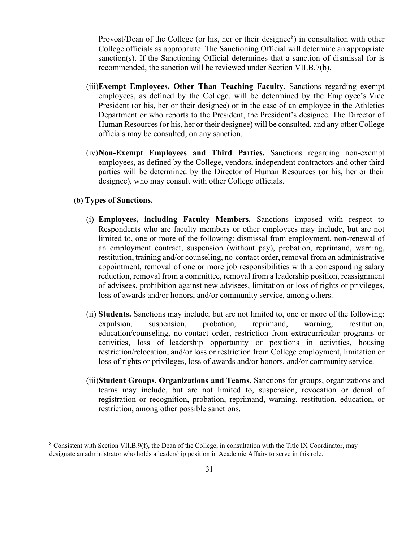Provost/Dean of the College (or his, her or their designee $\delta$ ) in consultation with other College officials as appropriate. The Sanctioning Official will determine an appropriate sanction(s). If the Sanctioning Official determines that a sanction of dismissal for is recommended, the sanction will be reviewed under Section VII.B.7(b).

- (iii)**Exempt Employees, Other Than Teaching Faculty**. Sanctions regarding exempt employees, as defined by the College, will be determined by the Employee's Vice President (or his, her or their designee) or in the case of an employee in the Athletics Department or who reports to the President, the President's designee. The Director of Human Resources (or his, her or their designee) will be consulted, and any other College officials may be consulted, on any sanction.
- (iv)**Non-Exempt Employees and Third Parties.** Sanctions regarding non-exempt employees, as defined by the College, vendors, independent contractors and other third parties will be determined by the Director of Human Resources (or his, her or their designee), who may consult with other College officials.

## **(b) Types of Sanctions.**

- (i) **Employees, including Faculty Members.** Sanctions imposed with respect to Respondents who are faculty members or other employees may include, but are not limited to, one or more of the following: dismissal from employment, non-renewal of an employment contract, suspension (without pay), probation, reprimand, warning, restitution, training and/or counseling, no-contact order, removal from an administrative appointment, removal of one or more job responsibilities with a corresponding salary reduction, removal from a committee, removal from a leadership position, reassignment of advisees, prohibition against new advisees, limitation or loss of rights or privileges, loss of awards and/or honors, and/or community service, among others. officials may be consulted, on any sanction.<br> **ARCHIVED CONTIGENT:** Comployees and Third Parties. Sanctions regarding nemployees, as defined by the College, vendors, independent contractors and particis will be determined
	- (ii) **Students.** Sanctions may include, but are not limited to, one or more of the following: expulsion, suspension, probation, reprimand, warning, restitution, education/counseling, no-contact order, restriction from extracurricular programs or activities, loss of leadership opportunity or positions in activities, housing restriction/relocation, and/or loss or restriction from College employment, limitation or loss of rights or privileges, loss of awards and/or honors, and/or community service.
	- (iii)**Student Groups, Organizations and Teams**. Sanctions for groups, organizations and teams may include, but are not limited to, suspension, revocation or denial of registration or recognition, probation, reprimand, warning, restitution, education, or restriction, among other possible sanctions.

<span id="page-30-0"></span> $8$  Consistent with Section VII.B.9(f), the Dean of the College, in consultation with the Title IX Coordinator, may designate an administrator who holds a leadership position in Academic Affairs to serve in this role.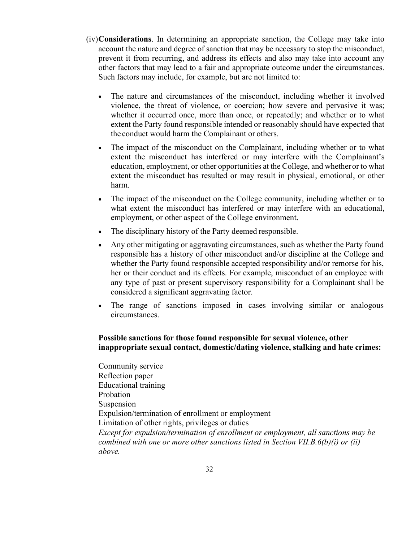- (iv)**Considerations**. In determining an appropriate sanction, the College may take into account the nature and degree of sanction that may be necessary to stop the misconduct, prevent it from recurring, and address its effects and also may take into account any other factors that may lead to a fair and appropriate outcome under the circumstances. Such factors may include, for example, but are not limited to:
	- The nature and circumstances of the misconduct, including whether it involved violence, the threat of violence, or coercion; how severe and pervasive it was; whether it occurred once, more than once, or repeatedly; and whether or to what extent the Party found responsible intended or reasonably should have expected that the conduct would harm the Complainant or others.

The impact of the misconduct on the Complainant, including whether or to what extent the misconduct has interfered or may interfere with the Complainant's education, employment, or other opportunities at the College, and whetheror to what extent the misconduct has resulted or may result in physical, emotional, or other harm.

- The impact of the misconduct on the College community, including whether or to what extent the misconduct has interfered or may interfere with an educational, employment, or other aspect of the College environment.
- The disciplinary history of the Party deemed responsible.
- Any other mitigating or aggravating circumstances, such as whether the Party found responsible has a history of other misconduct and/or discipline at the College and whether the Party found responsible accepted responsibility and/or remorse for his, her or their conduct and its effects. For example, misconduct of an employee with any type of past or present supervisory responsibility for a Complainant shall be considered a significant aggravating factor. the conduct would harm the Complainant or others.<br>
The impact of the missonduct has interfered or may interfere with the Complainant, including whether extent the missonduct has interfered or may result in physical, emotio
	- The range of sanctions imposed in cases involving similar or analogous circumstances.

# **Possible sanctions for those found responsible for sexual violence, other inappropriate sexual contact, domestic/dating violence, stalking and hate crimes:**

Community service Reflection paper Educational training Probation Suspension Expulsion/termination of enrollment or employment Limitation of other rights, privileges or duties *Except for expulsion/termination of enrollment or employment, all sanctions may be combined with one or more other sanctions listed in Section VII.B.6(b)(i) or (ii) above.*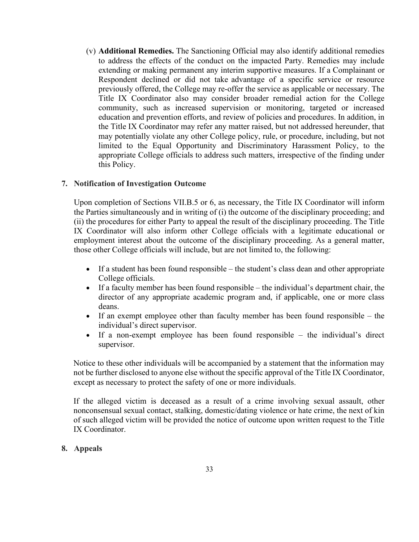(v) **Additional Remedies.** The Sanctioning Official may also identify additional remedies to address the effects of the conduct on the impacted Party. Remedies may include extending or making permanent any interim supportive measures. If a Complainant or Respondent declined or did not take advantage of a specific service or resource previously offered, the College may re-offer the service as applicable or necessary. The Title IX Coordinator also may consider broader remedial action for the College community, such as increased supervision or monitoring, targeted or increased education and prevention efforts, and review of policies and procedures. In addition, in the Title IX Coordinator may refer any matter raised, but not addressed hereunder, that may potentially violate any other College policy, rule, or procedure, including, but not limited to the Equal Opportunity and Discriminatory Harassment Policy, to the appropriate College officials to address such matters, irrespective of the finding under this Policy.

## **7. Notification of Investigation Outcome**

Upon completion of Sections VII.B.5 or 6, as necessary, the Title IX Coordinator will inform the Parties simultaneously and in writing of (i) the outcome of the disciplinary proceeding; and (ii) the procedures for either Party to appeal the result of the disciplinary proceeding. The Title IX Coordinator will also inform other College officials with a legitimate educational or employment interest about the outcome of the disciplinary proceeding. As a general matter, those other College officials will include, but are not limited to, the following: In the Coloumator any icteral y meant raised, out out accounts that in the transmit college policy, rule, or procedure, including in the Equal Opportunity and Discriminatory Harassment Polic appopriant College officials to

- If a student has been found responsible the student's class dean and other appropriate College officials.
- If a faculty member has been found responsible the individual's department chair, the director of any appropriate academic program and, if applicable, one or more class deans.
- If an exempt employee other than faculty member has been found responsible the individual's direct supervisor.
- If a non-exempt employee has been found responsible the individual's direct supervisor.

Notice to these other individuals will be accompanied by a statement that the information may not be further disclosed to anyone else without the specific approval of the Title IX Coordinator, except as necessary to protect the safety of one or more individuals.

If the alleged victim is deceased as a result of a crime involving sexual assault, other nonconsensual sexual contact, stalking, domestic/dating violence or hate crime, the next of kin of such alleged victim will be provided the notice of outcome upon written request to the Title IX Coordinator.

## **8. Appeals**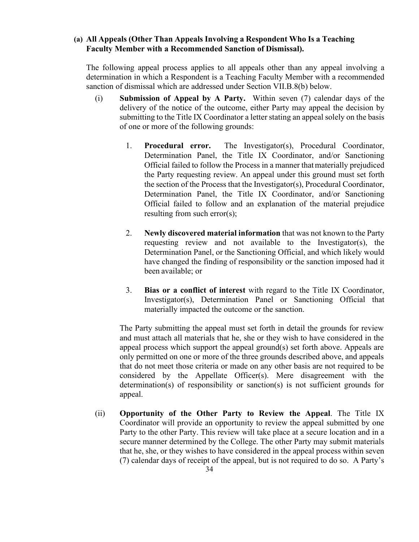### **(a) All Appeals (Other Than Appeals Involving a Respondent Who Is a Teaching Faculty Member with a Recommended Sanction of Dismissal).**

The following appeal process applies to all appeals other than any appeal involving a determination in which a Respondent is a Teaching Faculty Member with a recommended sanction of dismissal which are addressed under Section VII.B.8(b) below.

- (i) **Submission of Appeal by A Party.** Within seven (7) calendar days of the delivery of the notice of the outcome, either Party may appeal the decision by submitting to the Title IX Coordinator a letter stating an appeal solely on the basis of one or more of the following grounds:
- 1. **Procedural error.** The Investigator(s), Procedural Coordinator, Determination Panel, the Title IX Coordinator, and/or Sanctioning Official failed to follow the Process in a manner thatmaterially prejudiced the Party requesting review. An appeal under this ground must set forth the section of the Process that the Investigator(s), Procedural Coordinator, Determination Panel, the Title IX Coordinator, and/or Sanctioning Official failed to follow and an explanation of the material prejudice resulting from such error(s); **Procedural error.** The Investigator(s), Procedural Conductor intervalses in a manner that materially the Party requesting review. An appeal under this ground must be party requesting the Party requesting review. An appeal
	- 2. **Newly discovered material information** that was not known to the Party requesting review and not available to the Investigator(s), the Determination Panel, or the Sanctioning Official, and which likely would have changed the finding of responsibility or the sanction imposed had it been available; or
	- 3. **Bias or a conflict of interest** with regard to the Title IX Coordinator, Investigator(s), Determination Panel or Sanctioning Official that materially impacted the outcome or the sanction.

The Party submitting the appeal must set forth in detail the grounds for review and must attach all materials that he, she or they wish to have considered in the appeal process which support the appeal ground(s) set forth above. Appeals are only permitted on one or more of the three grounds described above, and appeals that do not meet those criteria or made on any other basis are not required to be considered by the Appellate Officer(s). Mere disagreement with the determination(s) of responsibility or sanction(s) is not sufficient grounds for appeal.

(ii) **Opportunity of the Other Party to Review the Appeal**. The Title IX Coordinator will provide an opportunity to review the appeal submitted by one Party to the other Party. This review will take place at a secure location and in a secure manner determined by the College. The other Party may submit materials that he, she, or they wishes to have considered in the appeal process within seven (7) calendar days of receipt of the appeal, but is not required to do so. A Party's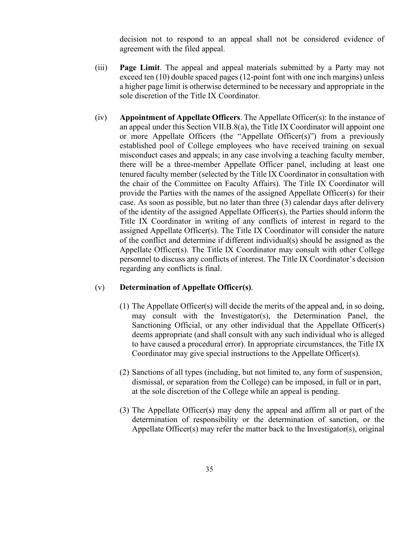decision not to respond to an appeal shall not be considered evidence of agreement with the filed appeal.

- (iii) **Page Limit**. The appeal and appeal materials submitted by a Party may not exceed ten (10) double spaced pages (12-point font with one inch margins) unless a higher page limit is otherwise determined to be necessary and appropriate in the sole discretion of the Title IX Coordinator.
- (iv) **Appointment of Appellate Officers**. The Appellate Officer(s): In the instance of an appeal under this Section VII.B.8(a), the Title IX Coordinator will appoint one or more Appellate Officers (the "Appellate Officer(s)") from a previously established pool of College employees who have received training on sexual misconduct cases and appeals; in any case involving a teaching faculty member, there will be a three-member Appellate Officer panel, including at least one tenured faculty member (selected by the Title IX Coordinator in consultation with the chair of the Committee on Faculty Affairs). The Title IX Coordinator will provide the Parties with the names of the assigned Appellate Officer(s) for their case. As soon as possible, but no later than three (3) calendar days after delivery of the identity of the assigned Appellate Officer(s), the Parties should inform the Title IX Coordinator in writing of any conflicts of interest in regard to the assigned Appellate Officer(s). The Title IX Coordinator will consider the nature of the conflict and determine if different individual(s) should be assigned as the Appellate Officer(s). The Title IX Coordinator may consult with other College personnel to discuss any conflicts of interest. The Title IX Coordinator's decision regarding any conflicts is final. an appearance to secure the state of the constant of the state of the constant of the constant of the state of the state of the way case in weak is the state of the will be a three-member Appellate Officer and, including a

## (v) **Determination of Appellate Officer(s)**.

- (1) The Appellate Officer(s) will decide the merits of the appeal and, in so doing, may consult with the Investigator(s), the Determination Panel, the Sanctioning Official, or any other individual that the Appellate Officer(s) deems appropriate (and shall consult with any such individual who is alleged to have caused a procedural error). In appropriate circumstances, the Title IX Coordinator may give special instructions to the Appellate Officer(s).
- (2) Sanctions of all types (including, but not limited to, any form of suspension, dismissal, or separation from the College) can be imposed, in full or in part, at the sole discretion of the College while an appeal is pending.
- (3) The Appellate Officer(s) may deny the appeal and affirm all or part of the determination of responsibility or the determination of sanction, or the Appellate Officer(s) may refer the matter back to the Investigator(s), original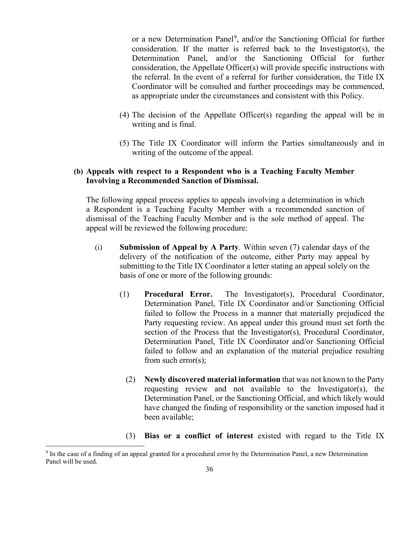or a new Determination Panel<sup>[9](#page-35-0)</sup>, and/or the Sanctioning Official for further consideration. If the matter is referred back to the Investigator(s), the Determination Panel, and/or the Sanctioning Official for further consideration, the Appellate Officer(s) will provide specific instructions with the referral. In the event of a referral for further consideration, the Title IX Coordinator will be consulted and further proceedings may be commenced, as appropriate under the circumstances and consistent with this Policy.

- (4) The decision of the Appellate Officer(s) regarding the appeal will be in writing and is final.
- (5) The Title IX Coordinator will inform the Parties simultaneously and in writing of the outcome of the appeal.

## **(b) Appeals with respect to a Respondent who is a Teaching Faculty Member Involving a Recommended Sanction of Dismissal.**

The following appeal process applies to appeals involving a determination in which a Respondent is a Teaching Faculty Member with a recommended sanction of dismissal of the Teaching Faculty Member and is the sole method of appeal. The appeal will be reviewed the following procedure:

- (i) **Submission of Appeal by A Party**. Within seven (7) calendar days of the delivery of the notification of the outcome, either Party may appeal by submitting to the Title IX Coordinator a letter stating an appeal solely on the basis of one or more of the following grounds:
- (1) **Procedural Error.** The Investigator(s), Procedural Coordinator, Determination Panel, Title IX Coordinator and/or Sanctioning Official failed to follow the Process in a manner that materially prejudiced the Party requesting review. An appeal under this ground must set forth the section of the Process that the Investigator(s), Procedural Coordinator, Determination Panel, Title IX Coordinator and/or Sanctioning Official failed to follow and an explanation of the material prejudice resulting from such error(s); (5) The Title IX Coordinator will inform the Parties simultaneous<br>writing of the outcome of the appeal.<br> **APCHIVED** Involving a Recommended Sanction of Dismissal.<br>
The following appeal process applies to appeals involving
	- (2) **Newly discovered material information** that was not known to the Party requesting review and not available to the Investigator(s), the Determination Panel, or the Sanctioning Official, and which likely would have changed the finding of responsibility or the sanction imposed had it been available;
	- (3) **Bias or a conflict of interest** existed with regard to the Title IX

<span id="page-35-0"></span><sup>9</sup> In the case of a finding of an appeal granted for a procedural error by the Determination Panel, a new Determination Panel will be used.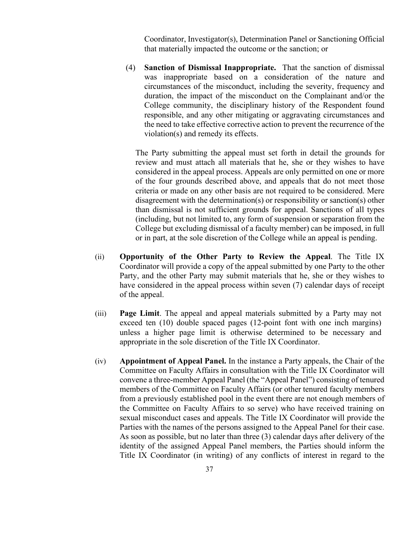Coordinator, Investigator(s), Determination Panel or Sanctioning Official that materially impacted the outcome or the sanction; or

(4) **Sanction of Dismissal Inappropriate.** That the sanction of dismissal was inappropriate based on a consideration of the nature and circumstances of the misconduct, including the severity, frequency and duration, the impact of the misconduct on the Complainant and/or the College community, the disciplinary history of the Respondent found responsible, and any other mitigating or aggravating circumstances and the need to take effective corrective action to prevent the recurrence of the violation(s) and remedy its effects.

The Party submitting the appeal must set forth in detail the grounds for review and must attach all materials that he, she or they wishes to have considered in the appeal process. Appeals are only permitted on one or more of the four grounds described above, and appeals that do not meet those criteria or made on any other basis are not required to be considered. Mere disagreement with the determination(s) or responsibility or sanction(s) other than dismissal is not sufficient grounds for appeal. Sanctions of all types (including, but not limited to, any form of suspension or separation from the College but excluding dismissal of a faculty member) can be imposed, in full or in part, at the sole discretion of the College while an appeal is pending. violation(s) and remedy its effects.<br>
The Party submitting the appeal must set forth in detail the growing<br>
review and must attach all materials that he, she or they wished<br>
considered in the appeal process. Appeals are on

- (ii) **Opportunity of the Other Party to Review the Appeal**. The Title IX Coordinator will provide a copy of the appeal submitted by one Party to the other Party, and the other Party may submit materials that he, she or they wishes to have considered in the appeal process within seven (7) calendar days of receipt of the appeal.
- (iii) **Page Limit**. The appeal and appeal materials submitted by a Party may not exceed ten (10) double spaced pages (12-point font with one inch margins) unless a higher page limit is otherwise determined to be necessary and appropriate in the sole discretion of the Title IX Coordinator.
- (iv) **Appointment of Appeal Panel.** In the instance a Party appeals, the Chair of the Committee on Faculty Affairs in consultation with the Title IX Coordinator will convene a three-member Appeal Panel (the "Appeal Panel") consisting of tenured members of the Committee on Faculty Affairs (or other tenured faculty members from a previously established pool in the event there are not enough members of the Committee on Faculty Affairs to so serve) who have received training on sexual misconduct cases and appeals. The Title IX Coordinator will provide the Parties with the names of the persons assigned to the Appeal Panel for their case. As soon as possible, but no later than three (3) calendar days after delivery of the identity of the assigned Appeal Panel members, the Parties should inform the Title IX Coordinator (in writing) of any conflicts of interest in regard to the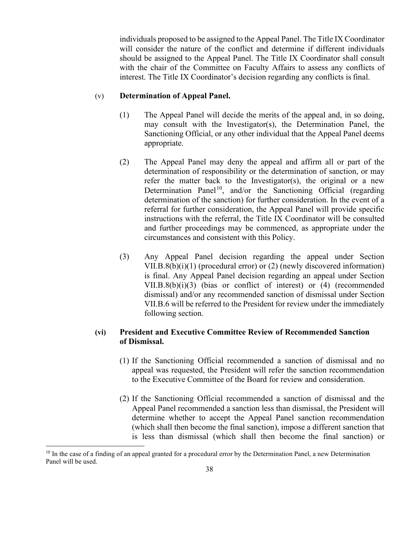individuals proposed to be assigned to the Appeal Panel. The Title IX Coordinator will consider the nature of the conflict and determine if different individuals should be assigned to the Appeal Panel. The Title IX Coordinator shall consult with the chair of the Committee on Faculty Affairs to assess any conflicts of interest. The Title IX Coordinator's decision regarding any conflicts is final.

### (v) **Determination of Appeal Panel.**

(1) The Appeal Panel will decide the merits of the appeal and, in so doing, may consult with the Investigator(s), the Determination Panel, the Sanctioning Official, or any other individual that the Appeal Panel deems appropriate.

- (2) The Appeal Panel may deny the appeal and affirm all or part of the determination of responsibility or the determination of sanction, or may refer the matter back to the Investigator(s), the original or a new Determination Panel<sup>10</sup>, and/or the Sanctioning Official (regarding determination of the sanction) for further consideration. In the event of a referral for further consideration, the Appeal Panel will provide specific instructions with the referral, the Title IX Coordinator will be consulted and further proceedings may be commenced, as appropriate under the circumstances and consistent with this Policy. Sanctioning Official, or any other individual that the Appeal Pa<br>appropriate.<br>
(2) The Appeal Panel may deny the appeal and affirm all or<br>
uchermination of responsibility or the determination of sanction<br>
relation that may
	- (3) Any Appeal Panel decision regarding the appeal under Section VII.B.8(b)(i)(1) (procedural error) or (2) (newly discovered information) is final. Any Appeal Panel decision regarding an appeal under Section VII.B.8(b)(i)(3) (bias or conflict of interest) or (4) (recommended dismissal) and/or any recommended sanction of dismissal under Section VII.B.6 will be referred to the President for review under the immediately following section.

# **(vi) President and Executive Committee Review of Recommended Sanction of Dismissal.**

- (1) If the Sanctioning Official recommended a sanction of dismissal and no appeal was requested, the President will refer the sanction recommendation to the Executive Committee of the Board for review and consideration.
- (2) If the Sanctioning Official recommended a sanction of dismissal and the Appeal Panel recommended a sanction less than dismissal, the President will determine whether to accept the Appeal Panel sanction recommendation (which shall then become the final sanction), impose a different sanction that is less than dismissal (which shall then become the final sanction) or

<span id="page-37-0"></span> $10$  In the case of a finding of an appeal granted for a procedural error by the Determination Panel, a new Determination Panel will be used.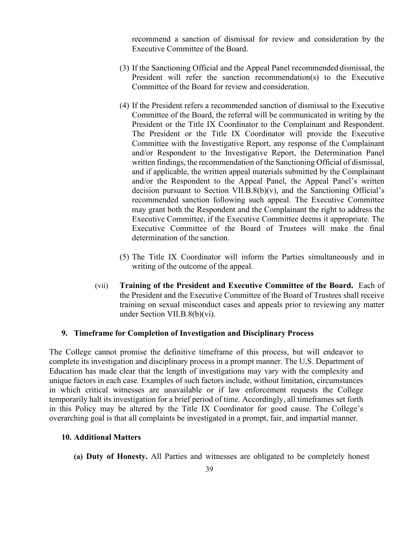recommend a sanction of dismissal for review and consideration by the Executive Committee of the Board.

- (3) If the Sanctioning Official and the Appeal Panel recommended dismissal, the President will refer the sanction recommendation(s) to the Executive Committee of the Board for review and consideration.
- (4) If the President refers a recommended sanction of dismissal to the Executive Committee of the Board, the referral will be communicated in writing by the President or the Title IX Coordinator to the Complainant and Respondent. The President or the Title IX Coordinator will provide the Executive Committee with the Investigative Report, any response of the Complainant and/or Respondent to the Investigative Report, the Determination Panel written findings, the recommendation of the Sanctioning Official of dismissal, and if applicable, the written appeal materials submitted by the Complainant and/or the Respondent to the Appeal Panel, the Appeal Panel's written decision pursuant to Section VII.B. $8(b)(v)$ , and the Sanctioning Official's recommended sanction following such appeal. The Executive Committee may grant both the Respondent and the Complainant the right to address the Executive Committee, if the Executive Committee deems it appropriate. The Executive Committee of the Board of Trustees will make the final determination of the sanction. The President or the Title IX Coordinator will provide the<br>
Committee with the Investigative Report, any response of the Co<br>
and/or Respondent to the Investigative Report, the Determinated and<br>
and/or the Reportant to the
	- (5) The Title IX Coordinator will inform the Parties simultaneously and in writing of the outcome of the appeal.
	- (vii) **Training of the President and Executive Committee of the Board.** Each of the President and the Executive Committee of the Board of Trustees shall receive training on sexual misconduct cases and appeals prior to reviewing any matter under Section VII.B.8(b)(vi).

## **9. Timeframe for Completion of Investigation and Disciplinary Process**

The College cannot promise the definitive timeframe of this process, but will endeavor to complete its investigation and disciplinary process in a prompt manner. The U.S. Department of Education has made clear that the length of investigations may vary with the complexity and unique factors in each case. Examples of such factors include, without limitation, circumstances in which critical witnesses are unavailable or if law enforcement requests the College temporarily halt its investigation for a brief period of time. Accordingly, all timeframes set forth in this Policy may be altered by the Title IX Coordinator for good cause. The College's overarching goal is that all complaints be investigated in a prompt, fair, and impartial manner.

### **10. Additional Matters**

**(a) Duty of Honesty.** All Parties and witnesses are obligated to be completely honest

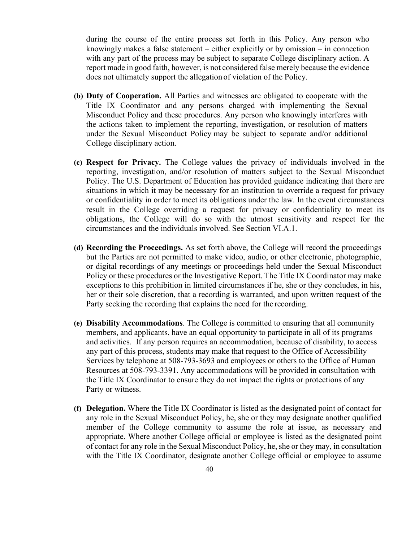during the course of the entire process set forth in this Policy. Any person who knowingly makes a false statement – either explicitly or by omission – in connection with any part of the process may be subject to separate College disciplinary action. A report made in good faith, however, is not considered false merely because the evidence does not ultimately support the allegation of violation of the Policy.

- **(b) Duty of Cooperation.** All Parties and witnesses are obligated to cooperate with the Title IX Coordinator and any persons charged with implementing the Sexual Misconduct Policy and these procedures. Any person who knowingly interferes with the actions taken to implement the reporting, investigation, or resolution of matters under the Sexual Misconduct Policy may be subject to separate and/or additional College disciplinary action.
- **(c) Respect for Privacy.** The College values the privacy of individuals involved in the reporting, investigation, and/or resolution of matters subject to the Sexual Misconduct Policy. The U.S. Department of Education has provided guidance indicating that there are situations in which it may be necessary for an institution to override a request for privacy or confidentiality in order to meet its obligations under the law. In the event circumstances result in the College overriding a request for privacy or confidentiality to meet its obligations, the College will do so with the utmost sensitivity and respect for the circumstances and the individuals involved. See Section VI.A.1. under the Sexual Misconduct Policy may be subject to separate and/or addit<br>College disciplinary action.<br> **(c) Respect for Privacy.** The College values the privacy of individuals involted reporting, investigation, and/or re
- **(d) Recording the Proceedings.** As set forth above, the College will record the proceedings but the Parties are not permitted to make video, audio, or other electronic, photographic, or digital recordings of any meetings or proceedings held under the Sexual Misconduct Policy or these procedures or the Investigative Report. The Title IX Coordinator may make exceptions to this prohibition in limited circumstances if he, she or they concludes, in his, her or their sole discretion, that a recording is warranted, and upon written request of the Party seeking the recording that explains the need for the recording.
- **(e) Disability Accommodations**. The College is committed to ensuring that all community members, and applicants, have an equal opportunity to participate in all of its programs and activities. If any person requires an accommodation, because of disability, to access any part of this process, students may make that request to the Office of Accessibility Services by telephone at 508-793-3693 and employees or others to the Office of Human Resources at 508-793-3391. Any accommodations will be provided in consultation with the Title IX Coordinator to ensure they do not impact the rights or protections of any Party or witness.
- **(f) Delegation.** Where the Title IX Coordinator is listed as the designated point of contact for any role in the Sexual Misconduct Policy, he, she or they may designate another qualified member of the College community to assume the role at issue, as necessary and appropriate. Where another College official or employee is listed as the designated point of contact for any role in the Sexual Misconduct Policy, he, she or they may, in consultation with the Title IX Coordinator, designate another College official or employee to assume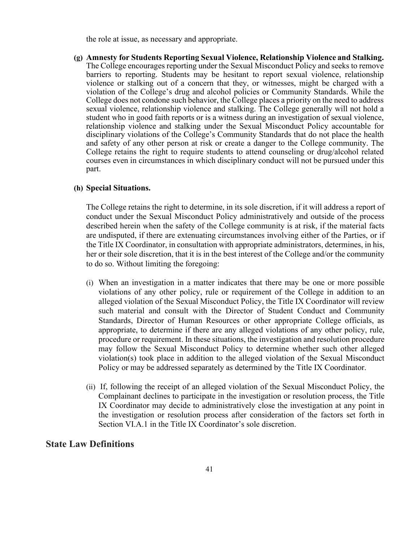the role at issue, as necessary and appropriate.

**(g) Amnesty for Students Reporting Sexual Violence, Relationship Violence and Stalking.**  The College encourages reporting under the Sexual Misconduct Policy and seeks to remove barriers to reporting. Students may be hesitant to report sexual violence, relationship violence or stalking out of a concern that they, or witnesses, might be charged with a violation of the College's drug and alcohol policies or Community Standards. While the College does not condone such behavior, the College places a priority on the need to address sexual violence, relationship violence and stalking. The College generally will not hold a student who in good faith reports or is a witness during an investigation of sexual violence, relationship violence and stalking under the Sexual Misconduct Policy accountable for disciplinary violations of the College's Community Standards that do not place the health and safety of any other person at risk or create a danger to the College community. The College retains the right to require students to attend counseling or drug/alcohol related courses even in circumstances in which disciplinary conduct will not be pursued under this part.

#### **(h) Special Situations.**

The College retains the right to determine, in its sole discretion, if it will address a report of conduct under the Sexual Misconduct Policy administratively and outside of the process described herein when the safety of the College community is at risk, if the material facts are undisputed, if there are extenuating circumstances involving either of the Parties, or if the Title IX Coordinator, in consultation with appropriate administrators, determines, in his, her or their sole discretion, that it is in the best interest of the College and/or the community to do so. Without limiting the foregoing:

- (i) When an investigation in a matter indicates that there may be one or more possible violations of any other policy, rule or requirement of the College in addition to an alleged violation of the Sexual Misconduct Policy, the Title IX Coordinator will review such material and consult with the Director of Student Conduct and Community Standards, Director of Human Resources or other appropriate College officials, as appropriate, to determine if there are any alleged violations of any other policy, rule, procedure or requirement. In these situations, the investigation and resolution procedure may follow the Sexual Misconduct Policy to determine whether such other alleged violation(s) took place in addition to the alleged violation of the Sexual Misconduct Policy or may be addressed separately as determined by the Title IX Coordinator. detectionally violations of the College's Community Standards that do not place<br>disciplinary violations of the College's Community Standards that do not place<br>and safely of any other person at risk or create a denger to th
	- (ii) If, following the receipt of an alleged violation of the Sexual Misconduct Policy, the Complainant declines to participate in the investigation or resolution process, the Title IX Coordinator may decide to administratively close the investigation at any point in the investigation or resolution process after consideration of the factors set forth in Section VI.A.1 in the Title IX Coordinator's sole discretion.

### **State Law Definitions**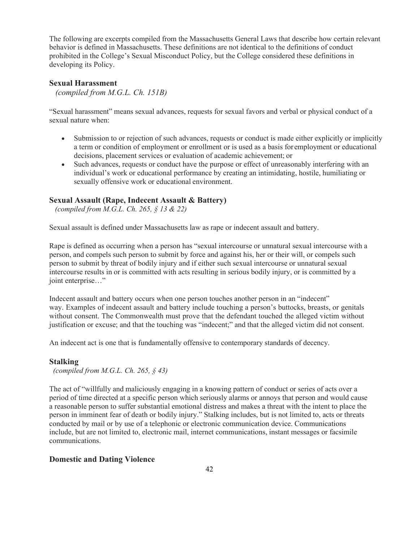The following are excerpts compiled from the Massachusetts General Laws that describe how certain relevant behavior is defined in Massachusetts. These definitions are not identical to the definitions of conduct prohibited in the College's Sexual Misconduct Policy, but the College considered these definitions in developing its Policy.

### **Sexual Harassment**

*(compiled from M.G.L. Ch. 151B)*

"Sexual harassment" means sexual advances, requests for sexual favors and verbal or physical conduct of a sexual nature when:

- Submission to or rejection of such advances, requests or conduct is made either explicitly or implicitly a term or condition of employment or enrollment or is used as a basis for employment or educational decisions, placement services or evaluation of academic achievement; or
- Such advances, requests or conduct have the purpose or effect of unreasonably interfering with an individual's work or educational performance by creating an intimidating, hostile, humiliating or sexually offensive work or educational environment.

## **Sexual Assault (Rape, Indecent Assault & Battery)**

*(compiled from M.G.L. Ch. 265, § 13 & 22)*

Sexual assault is defined under Massachusetts law as rape or indecent assault and battery.

Rape is defined as occurring when a person has "sexual intercourse or unnatural sexual intercourse with a person, and compels such person to submit by force and against his, her or their will, or compels such person to submit by threat of bodily injury and if either such sexual intercourse or unnatural sexual intercourse results in or is committed with acts resulting in serious bodily injury, or is committed by a joint enterprise…" Submission to or rejection of such advances, requests or conduct is made either explicitly or<br>a term or condition of employment or enrollment or is used as a basis forcemployment or educations, phacement services or evalua

Indecent assault and battery occurs when one person touches another person in an "indecent" way. Examples of indecent assault and battery include touching a person's buttocks, breasts, or genitals without consent. The Commonwealth must prove that the defendant touched the alleged victim without justification or excuse; and that the touching was "indecent;" and that the alleged victim did not consent.

An indecent act is one that is fundamentally offensive to contemporary standards of decency.

#### **Stalking**

*(compiled from M.G.L. Ch. 265, § 43)*

The act of "willfully and maliciously engaging in a knowing pattern of conduct or series of acts over a period of time directed at a specific person which seriously alarms or annoys that person and would cause a reasonable person to suffer substantial emotional distress and makes a threat with the intent to place the person in imminent fear of death or bodily injury." Stalking includes, but is not limited to, acts or threats conducted by mail or by use of a telephonic or electronic communication device. Communications include, but are not limited to, electronic mail, internet communications, instant messages or facsimile communications.

### **Domestic and Dating Violence**